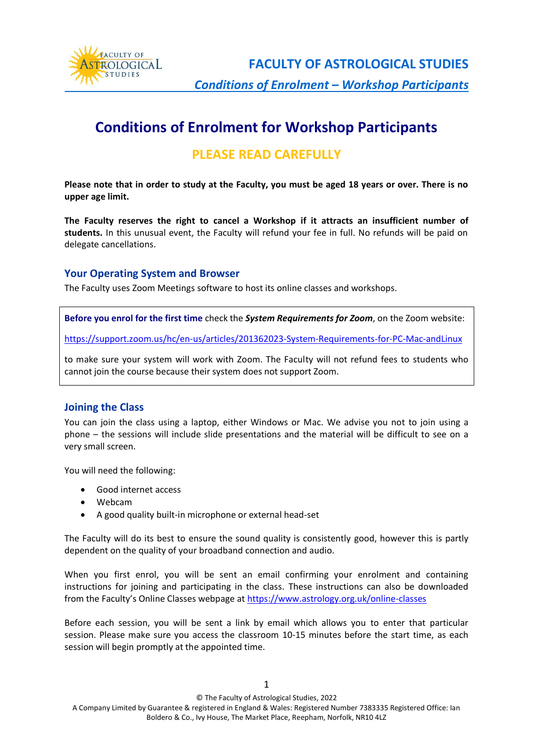

**FACULTY OF ASTROLOGICAL STUDIES**  *Conditions of Enrolment – Workshop Participants*

# **Conditions of Enrolment for Workshop Participants**

## **PLEASE READ CAREFULLY**

**Please note that in order to study at the Faculty, you must be aged 18 years or over. There is no upper age limit.**

**The Faculty reserves the right to cancel a Workshop if it attracts an insufficient number of students.** In this unusual event, the Faculty will refund your fee in full. No refunds will be paid on delegate cancellations.

#### **Your Operating System and Browser**

The Faculty uses Zoom Meetings software to host its online classes and workshops.

**Before you enrol for the first time** check the *System Requirements for Zoom*, on the Zoom website:

<https://support.zoom.us/hc/en-us/articles/201362023-System-Requirements-for-PC-Mac-andLinux>

to make sure your system will work with Zoom. The Faculty will not refund fees to students who cannot join the course because their system does not support Zoom.

#### **Joining the Class**

You can join the class using a laptop, either Windows or Mac. We advise you not to join using a phone – the sessions will include slide presentations and the material will be difficult to see on a very small screen.

You will need the following:

- Good internet access
- Webcam
- A good quality built-in microphone or external head-set

The Faculty will do its best to ensure the sound quality is consistently good, however this is partly dependent on the quality of your broadband connection and audio.

When you first enrol, you will be sent an email confirming your enrolment and containing instructions for joining and participating in the class. These instructions can also be downloaded from the Faculty's Online Classes webpage at [https://www.astrology.org.uk/online-classes](https://www.astrology.org.uk/online-classes/)

Before each session, you will be sent a link by email which allows you to enter that particular session. Please make sure you access the classroom 10-15 minutes before the start time, as each session will begin promptly at the appointed time.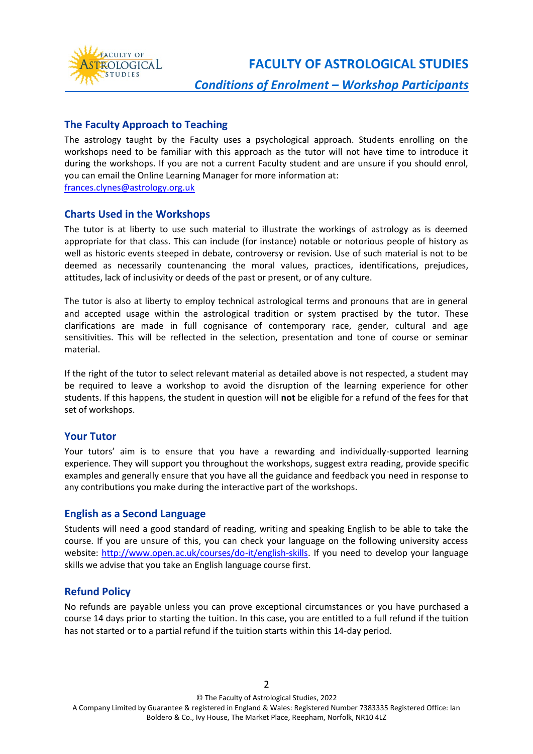

**FACULTY OF ASTROLOGICAL STUDIES**

#### **The Faculty Approach to Teaching**

The astrology taught by the Faculty uses a psychological approach. Students enrolling on the workshops need to be familiar with this approach as the tutor will not have time to introduce it during the workshops. If you are not a current Faculty student and are unsure if you should enrol, you can email the Online Learning Manager for more information at: [frances.clynes@astrology.org.uk](mailto:frances.clynes@astrology.org.uk)

#### **Charts Used in the Workshops**

The tutor is at liberty to use such material to illustrate the workings of astrology as is deemed appropriate for that class. This can include (for instance) notable or notorious people of history as well as historic events steeped in debate, controversy or revision. Use of such material is not to be deemed as necessarily countenancing the moral values, practices, identifications, prejudices, attitudes, lack of inclusivity or deeds of the past or present, or of any culture.

The tutor is also at liberty to employ technical astrological terms and pronouns that are in general and accepted usage within the astrological tradition or system practised by the tutor. These clarifications are made in full cognisance of contemporary race, gender, cultural and age sensitivities. This will be reflected in the selection, presentation and tone of course or seminar material.

If the right of the tutor to select relevant material as detailed above is not respected, a student may be required to leave a workshop to avoid the disruption of the learning experience for other students. If this happens, the student in question will **not** be eligible for a refund of the fees for that set of workshops.

#### **Your Tutor**

Your tutors' aim is to ensure that you have a rewarding and individually-supported learning experience. They will support you throughout the workshops, suggest extra reading, provide specific examples and generally ensure that you have all the guidance and feedback you need in response to any contributions you make during the interactive part of the workshops.

#### **English as a Second Language**

Students will need a good standard of reading, writing and speaking English to be able to take the course. If you are unsure of this, you can check your language on the following university access website: [http://www.open.ac.uk/courses/do-it/english-skills.](http://www.open.ac.uk/courses/do-it/english-skills) If you need to develop your language skills we advise that you take an English language course first.

#### **Refund Policy**

No refunds are payable unless you can prove exceptional circumstances or you have purchased a course 14 days prior to starting the tuition. In this case, you are entitled to a full refund if the tuition has not started or to a partial refund if the tuition starts within this 14-day period.